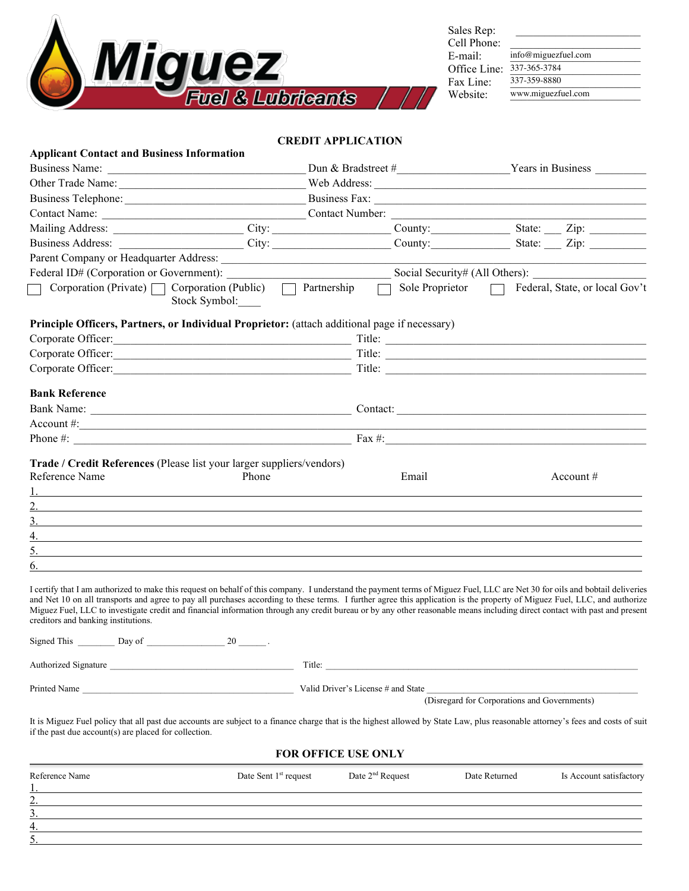

| Sales Rep:   |     |
|--------------|-----|
| Cell Phone:  |     |
| E-mail:      | inf |
| Office Line: | 337 |
| Fax Line:    | 337 |
| Website:     | ww  |
|              |     |

Sales Rep: \_\_\_\_\_\_\_\_\_\_\_\_\_\_\_\_\_\_\_\_\_\_ Cell Phone: \_\_\_\_\_\_\_\_\_\_\_\_\_\_\_\_\_\_\_\_\_\_\_ E-mail: info@miguezfuel.com Office Line: 337-365-3784 Fax Line:  $\frac{337-359-8880}{ }$ Website: www.miguezfuel.com

#### **CREDIT APPLICATION**

| Business Name:                                                                                                                                                                                                                                                                                                                                                                                                                                                                                                                                                                 |                               |                                                                                                                                                                                                                                      |
|--------------------------------------------------------------------------------------------------------------------------------------------------------------------------------------------------------------------------------------------------------------------------------------------------------------------------------------------------------------------------------------------------------------------------------------------------------------------------------------------------------------------------------------------------------------------------------|-------------------------------|--------------------------------------------------------------------------------------------------------------------------------------------------------------------------------------------------------------------------------------|
| Other Trade Name: New York Holden and Medicine and Medicine and Medicine and Medicine and Medicine and Medicine and Medicine and Medicine and Medicine and Medicine and Medicine and Medicine and Medicine and Medicine and Me                                                                                                                                                                                                                                                                                                                                                 |                               |                                                                                                                                                                                                                                      |
|                                                                                                                                                                                                                                                                                                                                                                                                                                                                                                                                                                                |                               |                                                                                                                                                                                                                                      |
|                                                                                                                                                                                                                                                                                                                                                                                                                                                                                                                                                                                |                               |                                                                                                                                                                                                                                      |
|                                                                                                                                                                                                                                                                                                                                                                                                                                                                                                                                                                                |                               |                                                                                                                                                                                                                                      |
| Business Address: City: City: City: County: County: State: Zip: 2.                                                                                                                                                                                                                                                                                                                                                                                                                                                                                                             |                               |                                                                                                                                                                                                                                      |
| Parent Company or Headquarter Address: National Action of Address and Action of Address and Action of Address and Action of Address and Action of Address and Action of Address and Action of Address and Action of Address an                                                                                                                                                                                                                                                                                                                                                 |                               |                                                                                                                                                                                                                                      |
| Federal ID# (Corporation or Government):                                                                                                                                                                                                                                                                                                                                                                                                                                                                                                                                       |                               |                                                                                                                                                                                                                                      |
| Corporation (Private) Corporation (Public) Cartnership<br>Stock Symbol:                                                                                                                                                                                                                                                                                                                                                                                                                                                                                                        | $\Box$ Sole Proprietor $\Box$ | Federal, State, or local Gov't                                                                                                                                                                                                       |
| Principle Officers, Partners, or Individual Proprietor: (attach additional page if necessary)                                                                                                                                                                                                                                                                                                                                                                                                                                                                                  |                               |                                                                                                                                                                                                                                      |
|                                                                                                                                                                                                                                                                                                                                                                                                                                                                                                                                                                                |                               |                                                                                                                                                                                                                                      |
|                                                                                                                                                                                                                                                                                                                                                                                                                                                                                                                                                                                |                               |                                                                                                                                                                                                                                      |
| Corporate Officer: Title: Title:                                                                                                                                                                                                                                                                                                                                                                                                                                                                                                                                               |                               |                                                                                                                                                                                                                                      |
| <b>Bank Reference</b>                                                                                                                                                                                                                                                                                                                                                                                                                                                                                                                                                          |                               |                                                                                                                                                                                                                                      |
|                                                                                                                                                                                                                                                                                                                                                                                                                                                                                                                                                                                |                               |                                                                                                                                                                                                                                      |
| $\text{Account } \#$ :                                                                                                                                                                                                                                                                                                                                                                                                                                                                                                                                                         |                               |                                                                                                                                                                                                                                      |
| Phone $\#$ : $\qquad \qquad$ $\qquad \qquad$ $\qquad$ $\qquad$ $\qquad$ $\qquad$ $\qquad$ $\qquad$ $\qquad$ $\qquad$ $\qquad$ $\qquad$ $\qquad$ $\qquad$ $\qquad$ $\qquad$ $\qquad$ $\qquad$ $\qquad$ $\qquad$ $\qquad$ $\qquad$ $\qquad$ $\qquad$ $\qquad$ $\qquad$ $\qquad$ $\qquad$ $\qquad$ $\qquad$ $\qquad$ $\qquad$ $\qquad$ $\qquad$                                                                                                                                                                                                                                   |                               |                                                                                                                                                                                                                                      |
|                                                                                                                                                                                                                                                                                                                                                                                                                                                                                                                                                                                |                               |                                                                                                                                                                                                                                      |
| Trade / Credit References (Please list your larger suppliers/vendors)<br>Reference Name<br>Phone                                                                                                                                                                                                                                                                                                                                                                                                                                                                               | Email                         | Account $#$                                                                                                                                                                                                                          |
|                                                                                                                                                                                                                                                                                                                                                                                                                                                                                                                                                                                |                               |                                                                                                                                                                                                                                      |
| 3.                                                                                                                                                                                                                                                                                                                                                                                                                                                                                                                                                                             |                               |                                                                                                                                                                                                                                      |
| <u> 1989 - Johann John Stein, markin fan it ferstjer fan de ferstjer fan it ferstjer fan de ferstjer fan de fers</u><br>4.<br><u>and the state of the state of the state of the state of the state of the state of the state of the state of the state of the state of the state of the state of the state of the state of the state of the state of the state</u>                                                                                                                                                                                                             |                               |                                                                                                                                                                                                                                      |
| 5.                                                                                                                                                                                                                                                                                                                                                                                                                                                                                                                                                                             |                               |                                                                                                                                                                                                                                      |
| 6.                                                                                                                                                                                                                                                                                                                                                                                                                                                                                                                                                                             |                               |                                                                                                                                                                                                                                      |
| I certify that I am authorized to make this request on behalf of this company. I understand the payment terms of Miguez Fuel, LLC are Net 30 for oils and bobtail deliveries<br>and Net 10 on all transports and agree to pay all purchases according to these terms. I further agree this application is the property of Miguez Fuel, LLC, and authorize<br>Miguez Fuel, LLC to investigate credit and financial information through any credit bureau or by any other reasonable means including direct contact with past and present<br>creditors and banking institutions. |                               |                                                                                                                                                                                                                                      |
| Signed This $\frac{1}{2}$ Day of $\frac{1}{2}$ 20 $\frac{1}{2}$ .                                                                                                                                                                                                                                                                                                                                                                                                                                                                                                              |                               |                                                                                                                                                                                                                                      |
| Authorized Signature                                                                                                                                                                                                                                                                                                                                                                                                                                                                                                                                                           |                               | Title: <u>and the contract of the contract of the contract of the contract of the contract of the contract of the contract of the contract of the contract of the contract of the contract of the contract of the contract of th</u> |
| Printed Name                                                                                                                                                                                                                                                                                                                                                                                                                                                                                                                                                                   |                               | (Disregard for Corporations and Governments)                                                                                                                                                                                         |

### **FOR OFFICE USE ONLY**

| Reference Name                                              | Date Sent $1st$ request | Date $2nd$ Request | Date Returned | Is Account satisfactory |
|-------------------------------------------------------------|-------------------------|--------------------|---------------|-------------------------|
| $\mathbf{1}$ . The same state $\mathbf{1}$<br>$\mathcal{L}$ |                         |                    |               |                         |
| $\overline{\phantom{a}}$<br>$\mathcal{L}$                   |                         |                    |               |                         |
| 4.                                                          |                         |                    |               |                         |
| 5.                                                          |                         |                    |               |                         |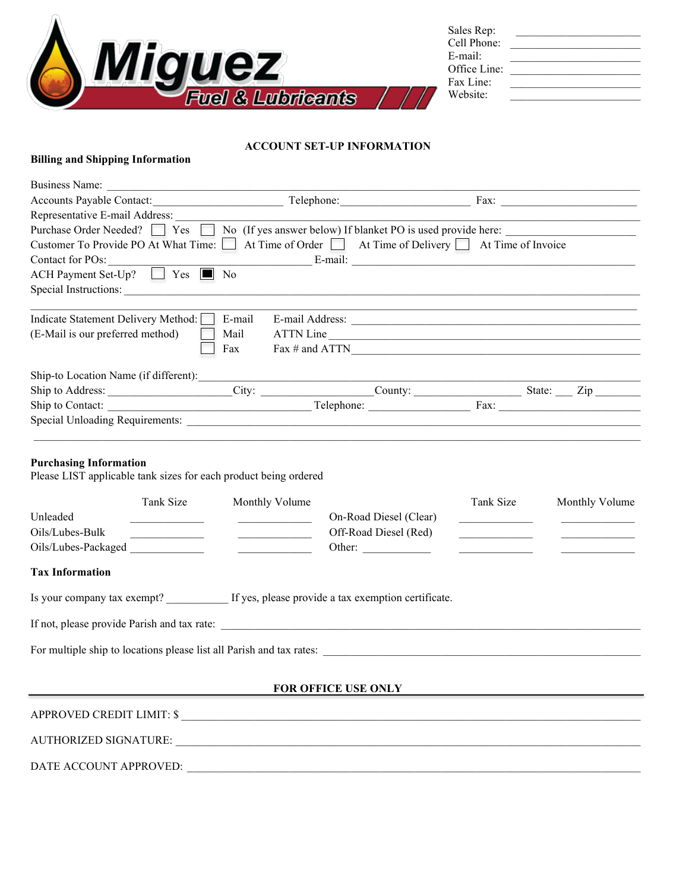

| Sales Rep:   |  |
|--------------|--|
| Cell Phone:  |  |
| E-mail:      |  |
| Office Line: |  |
| Fax Line:    |  |
| Website:     |  |
|              |  |

## **ACCOUNT SET-UP INFORMATION**

# **Billing and Shipping Information**

| <b>Business Name:</b>                                                                                                                                                                                      |                                                                                                                                                                                                                                                                                               |                                                                                                                                                                                                                                                                                                               |           |                |
|------------------------------------------------------------------------------------------------------------------------------------------------------------------------------------------------------------|-----------------------------------------------------------------------------------------------------------------------------------------------------------------------------------------------------------------------------------------------------------------------------------------------|---------------------------------------------------------------------------------------------------------------------------------------------------------------------------------------------------------------------------------------------------------------------------------------------------------------|-----------|----------------|
| Accounts Payable Contact: Telephone: Telephone: Fax: Fax:                                                                                                                                                  |                                                                                                                                                                                                                                                                                               |                                                                                                                                                                                                                                                                                                               |           |                |
| Representative E-mail Address:                                                                                                                                                                             |                                                                                                                                                                                                                                                                                               |                                                                                                                                                                                                                                                                                                               |           |                |
| Purchase Order Needed? [                                                                                                                                                                                   |                                                                                                                                                                                                                                                                                               | Yes No (If yes answer below) If blanket PO is used provide here:                                                                                                                                                                                                                                              |           |                |
| Customer To Provide PO At What Time: At Time of Order At Time of Delivery At Time of Invoice                                                                                                               |                                                                                                                                                                                                                                                                                               |                                                                                                                                                                                                                                                                                                               |           |                |
| Contact for POs:                                                                                                                                                                                           |                                                                                                                                                                                                                                                                                               | $E$ -mail: $E$ -mail: $\frac{1}{2}$ $\frac{1}{2}$ $\frac{1}{2}$ $\frac{1}{2}$ $\frac{1}{2}$ $\frac{1}{2}$ $\frac{1}{2}$ $\frac{1}{2}$ $\frac{1}{2}$ $\frac{1}{2}$ $\frac{1}{2}$ $\frac{1}{2}$ $\frac{1}{2}$ $\frac{1}{2}$ $\frac{1}{2}$ $\frac{1}{2}$ $\frac{1}{2}$ $\frac{1}{2}$ $\frac{1}{2}$ $\frac{1}{2}$ |           |                |
| $ACH$ Payment Set-Up? $\Box$ Yes $\Box$ No                                                                                                                                                                 |                                                                                                                                                                                                                                                                                               |                                                                                                                                                                                                                                                                                                               |           |                |
| Special Instructions: <u>example and the contract of the contract of the contract of the contract of the contract of</u>                                                                                   |                                                                                                                                                                                                                                                                                               |                                                                                                                                                                                                                                                                                                               |           |                |
| Indicate Statement Delivery Method:                                                                                                                                                                        | E-mail                                                                                                                                                                                                                                                                                        |                                                                                                                                                                                                                                                                                                               |           |                |
| (E-Mail is our preferred method)                                                                                                                                                                           | Mail                                                                                                                                                                                                                                                                                          | ATTN Line                                                                                                                                                                                                                                                                                                     |           |                |
|                                                                                                                                                                                                            | Fax                                                                                                                                                                                                                                                                                           | Fax # and ATTN $\frac{1}{2}$                                                                                                                                                                                                                                                                                  |           |                |
|                                                                                                                                                                                                            |                                                                                                                                                                                                                                                                                               |                                                                                                                                                                                                                                                                                                               |           |                |
|                                                                                                                                                                                                            |                                                                                                                                                                                                                                                                                               |                                                                                                                                                                                                                                                                                                               |           |                |
|                                                                                                                                                                                                            |                                                                                                                                                                                                                                                                                               |                                                                                                                                                                                                                                                                                                               |           |                |
|                                                                                                                                                                                                            |                                                                                                                                                                                                                                                                                               |                                                                                                                                                                                                                                                                                                               |           |                |
| Please LIST applicable tank sizes for each product being ordered<br>Tank Size<br>Unleaded<br>the company of the company<br>Oils/Lubes-Bulk<br><u> 1990 - Johann Barbara, martxa</u><br>Oils/Lubes-Packaged | Monthly Volume<br><u> 1989 - John Harry Harry Harry Harry Harry Harry Harry Harry Harry Harry Harry Harry Harry Harry Harry Harry Harry Harry Harry Harry Harry Harry Harry Harry Harry Harry Harry Harry Harry Harry Harry Harry Harry Harry Harr</u><br><u> De Carlos de Carlos de la p</u> | On-Road Diesel (Clear)<br>Off-Road Diesel (Red)<br>Other: $\qquad \qquad$                                                                                                                                                                                                                                     | Tank Size | Monthly Volume |
| <b>Tax Information</b>                                                                                                                                                                                     |                                                                                                                                                                                                                                                                                               |                                                                                                                                                                                                                                                                                                               |           |                |
| Is your company tax exempt? If yes, please provide a tax exemption certificate.                                                                                                                            |                                                                                                                                                                                                                                                                                               |                                                                                                                                                                                                                                                                                                               |           |                |
| If not, please provide Parish and tax rate:                                                                                                                                                                |                                                                                                                                                                                                                                                                                               |                                                                                                                                                                                                                                                                                                               |           |                |
|                                                                                                                                                                                                            |                                                                                                                                                                                                                                                                                               |                                                                                                                                                                                                                                                                                                               |           |                |
|                                                                                                                                                                                                            |                                                                                                                                                                                                                                                                                               | FOR OFFICE USE ONLY                                                                                                                                                                                                                                                                                           |           |                |
| APPROVED CREDIT LIMIT: \$                                                                                                                                                                                  |                                                                                                                                                                                                                                                                                               |                                                                                                                                                                                                                                                                                                               |           |                |
| AUTHORIZED SIGNATURE:                                                                                                                                                                                      |                                                                                                                                                                                                                                                                                               |                                                                                                                                                                                                                                                                                                               |           |                |

DATE ACCOUNT APPROVED: \_\_\_\_\_\_\_\_\_\_\_\_\_\_\_\_\_\_\_\_\_\_\_\_\_\_\_\_\_\_\_\_\_\_\_\_\_\_\_\_\_\_\_\_\_\_\_\_\_\_\_\_\_\_\_\_\_\_\_\_\_\_\_\_\_\_\_\_\_\_\_\_\_\_\_\_\_\_\_\_